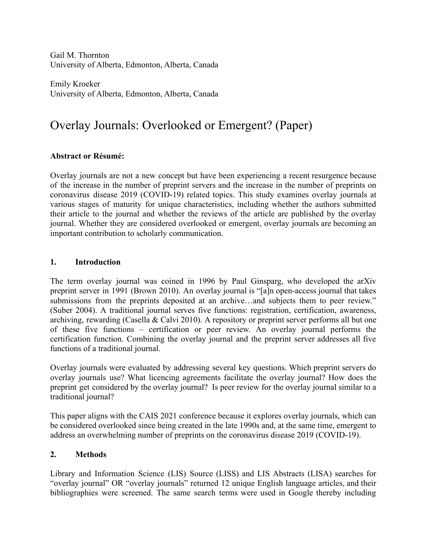Gail M. Thornton University of Alberta, Edmonton, Alberta, Canada

Emily Kroeker University of Alberta, Edmonton, Alberta, Canada

# Overlay Journals: Overlooked or Emergent? (Paper)

### **Abstract or Résumé:**

Overlay journals are not a new concept but have been experiencing a recent resurgence because of the increase in the number of preprint servers and the increase in the number of preprints on coronavirus disease 2019 (COVID-19) related topics. This study examines overlay journals at various stages of maturity for unique characteristics, including whether the authors submitted their article to the journal and whether the reviews of the article are published by the overlay journal. Whether they are considered overlooked or emergent, overlay journals are becoming an important contribution to scholarly communication.

#### **1. Introduction**

The term overlay journal was coined in 1996 by Paul Ginsparg, who developed the arXiv preprint server in 1991 (Brown 2010). An overlay journal is "[a]n open-access journal that takes submissions from the preprints deposited at an archive…and subjects them to peer review." (Suber 2004). A traditional journal serves five functions: registration, certification, awareness, archiving, rewarding (Casella & Calvi 2010). A repository or preprint server performs all but one of these five functions – certification or peer review. An overlay journal performs the certification function. Combining the overlay journal and the preprint server addresses all five functions of a traditional journal.

Overlay journals were evaluated by addressing several key questions. Which preprint servers do overlay journals use? What licencing agreements facilitate the overlay journal? How does the preprint get considered by the overlay journal? Is peer review for the overlay journal similar to a traditional journal?

This paper aligns with the CAIS 2021 conference because it explores overlay journals, which can be considered overlooked since being created in the late 1990s and, at the same time, emergent to address an overwhelming number of preprints on the coronavirus disease 2019 (COVID-19).

# **2. Methods**

Library and Information Science (LIS) Source (LISS) and LIS Abstracts (LISA) searches for "overlay journal" OR "overlay journals" returned 12 unique English language articles, and their bibliographies were screened. The same search terms were used in Google thereby including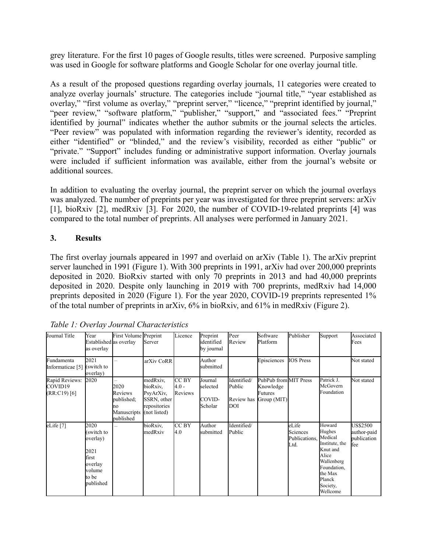grey literature. For the first 10 pages of Google results, titles were screened. Purposive sampling was used in Google for software platforms and Google Scholar for one overlay journal title.

As a result of the proposed questions regarding overlay journals, 11 categories were created to analyze overlay journals' structure. The categories include "journal title," "year established as overlay," "first volume as overlay," "preprint server," "licence," "preprint identified by journal," "peer review," "software platform," "publisher," "support," and "associated fees." "Preprint identified by journal" indicates whether the author submits or the journal selects the articles. "Peer review" was populated with information regarding the reviewer's identity, recorded as either "identified" or "blinded," and the review's visibility, recorded as either "public" or "private." "Support" includes funding or administrative support information. Overlay journals were included if sufficient information was available, either from the journal's website or additional sources.

In addition to evaluating the overlay journal, the preprint server on which the journal overlays was analyzed. The number of preprints per year was investigated for three preprint servers: arXiv [1], bioRxiv [2], medRxiv [3]. For 2020, the number of COVID-19-related preprints [4] was compared to the total number of preprints. All analyses were performed in January 2021.

# **3. Results**

The first overlay journals appeared in 1997 and overlaid on arXiv (Table 1). The arXiv preprint server launched in 1991 (Figure 1). With 300 preprints in 1991, arXiv had over 200,000 preprints deposited in 2020. BioRxiv started with only 70 preprints in 2013 and had 40,000 preprints deposited in 2020. Despite only launching in 2019 with 700 preprints, medRxiv had 14,000 preprints deposited in 2020 (Figure 1). For the year 2020, COVID-19 preprints represented 1% of the total number of preprints in arXiv, 6% in bioRxiv, and 61% in medRxiv (Figure 2).

| Journal Title                               | Year<br>Established as overlay<br>as overlay                                               | First Volume Preprint                                           | Server                                                                           | Licence                            | Preprint<br>identified<br>by journal     | Peer<br>Review                                    | Software<br>Platform                                         | Publisher                                  | Support                                                                                                                                      | Associated<br>Fees                                   |
|---------------------------------------------|--------------------------------------------------------------------------------------------|-----------------------------------------------------------------|----------------------------------------------------------------------------------|------------------------------------|------------------------------------------|---------------------------------------------------|--------------------------------------------------------------|--------------------------------------------|----------------------------------------------------------------------------------------------------------------------------------------------|------------------------------------------------------|
| Fundamenta<br>Informaticae [5]              | 2021<br>(switch to<br>overlay)                                                             |                                                                 | arXiv CoRR                                                                       |                                    | Author<br>submitted                      |                                                   | Episciences                                                  | <b>IOS</b> Press                           |                                                                                                                                              | Not stated                                           |
| Rapid Reviews:<br>COVID19<br>$(RR:C19)$ [6] | 2020                                                                                       | 2020<br>Reviews<br>published:<br>no<br>Manuscripts<br>published | medRxiv,<br>bioRxiv.<br>PsyArXiv,<br>SSRN, other<br>repositories<br>(not listed) | <b>CC BY</b><br>$4.0 -$<br>Reviews | Journal<br>selected<br>COVID-<br>Scholar | Identified/<br>Public<br>Review has<br><b>DOI</b> | PubPub from MIT Press<br>Knowledge<br>Futures<br>Group (MIT) |                                            | Patrick J.<br>McGovern<br>Foundation                                                                                                         | Not stated                                           |
| eLife <sup>[7]</sup>                        | 2020<br>(switch to<br>overlay)<br>2021<br>first<br>overlay<br>volume<br>to be<br>published |                                                                 | bioRxiv,<br>medRxiv                                                              | CC BY<br>4.0                       | Author<br>submitted                      | Identified/<br>Public                             |                                                              | eLife<br>Sciences<br>Publications,<br>Ltd. | Howard<br>Hughes<br>Medical<br>Institute, the<br>Knut and<br>Alice<br>Wallenberg<br>Foundation,<br>the Max<br>Planck<br>Society,<br>Wellcome | <b>US\$2500</b><br>author-paid<br>publication<br>fee |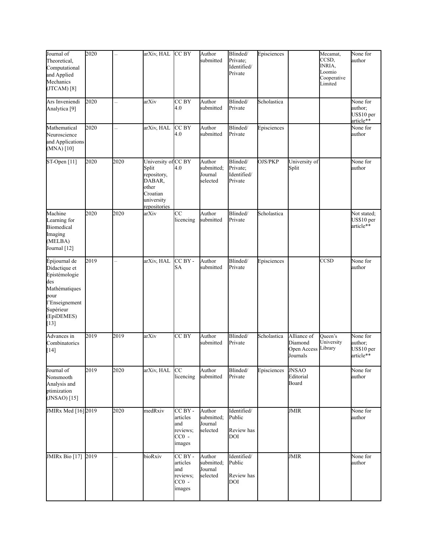| Journal of<br>Theoretical,<br>Computational<br>and Applied<br>Mechanics<br>(TICAM) [8]                                                 | 2020 |                          | arXiv, HAL                                                                                               | CC BY                                                       | Author<br>submitted                         | Blinded/<br>Private;<br>Identified/<br>Private    | Episciences |                                                   | Mecamat,<br>CCSD,<br>INRIA,<br>Loomio<br>Cooperative<br>Limited | None for<br>author                             |
|----------------------------------------------------------------------------------------------------------------------------------------|------|--------------------------|----------------------------------------------------------------------------------------------------------|-------------------------------------------------------------|---------------------------------------------|---------------------------------------------------|-------------|---------------------------------------------------|-----------------------------------------------------------------|------------------------------------------------|
| Ars Inveniendi<br>Analytica <sup>[9]</sup>                                                                                             | 2020 | ÷                        | arXiv                                                                                                    | CC BY<br>4.0                                                | Author<br>submitted                         | Blinded/<br>Private                               | Scholastica |                                                   |                                                                 | None for<br>author;<br>US\$10 per<br>article** |
| Mathematical<br>Neuroscience<br>and Applications<br>$(MNA)$ [10]                                                                       | 2020 |                          | arXiv, HAL                                                                                               | CC BY<br>4.0                                                | Author<br>submitted                         | Blinded/<br>Private                               | Episciences |                                                   |                                                                 | None for<br>author                             |
| ST-Open $[11]$                                                                                                                         | 2020 | 2020                     | University of CC BY<br>Split<br>repository,<br>DABAR,<br>other<br>Croatian<br>university<br>repositories | 4.0                                                         | Author<br>submitted;<br>Journal<br>selected | Blinded/<br>Private;<br>Identified/<br>Private    | OJS/PKP     | University of<br>Split                            |                                                                 | None for<br>author                             |
| Machine<br>Learning for<br><b>Biomedical</b><br>Imaging<br>(MELBA)<br>Journal [12]                                                     | 2020 | 2020                     | arXiv                                                                                                    | CC<br>licencing                                             | Author<br>submitted                         | Blinded/<br>Private                               | Scholastica |                                                   |                                                                 | Not stated;<br>US\$10 per<br>article**         |
| Épijournal de<br>Didactique et<br>Epistémologie<br>des<br>Mathématiques<br>pour<br>l'Enseignement<br>Supérieur<br>(EpiDEMES)<br>$[13]$ | 2019 |                          | arXiv, HAL                                                                                               | CC BY -<br>SA                                               | Author<br>submitted                         | Blinded/<br>Private                               | Episciences |                                                   | CCSD                                                            | None for<br>author                             |
| Advances in<br>Combinatorics<br>$[14]$                                                                                                 | 2019 | 2019                     | arXiv                                                                                                    | CC <sub>BY</sub>                                            | Author<br>submitted                         | Blinded/<br>Private                               | Scholastica | Alliance of<br>Diamond<br>Open Access<br>Journals | Queen's<br>University<br>Library                                | None for<br>author;<br>US\$10 per<br>article** |
| Journal of<br>Nonsmooth<br>Analysis and<br>ptimization<br>$(JNSAO)$ [15]                                                               | 2019 | 2020                     | arXiv, HAL                                                                                               | CC<br>licencing                                             | Author<br>submitted                         | Blinded/<br>Private                               | Episciences | <b>JNSAO</b><br>Editorial<br>Board                |                                                                 | None for<br>author                             |
| JMIRx Med [16] 2019                                                                                                                    |      | 2020                     | medRxiv                                                                                                  | CC BY -<br>articles<br>and<br>reviews;<br>$CC0 -$<br>images | Author<br>submitted;<br>Journal<br>selected | Identified/<br>Public<br>Review has<br><b>DOI</b> |             | JMIR                                              |                                                                 | None for<br>author                             |
| JMIRx Bio [17]                                                                                                                         | 2019 | $\overline{\phantom{0}}$ | bioRxiv                                                                                                  | CC BY -<br>articles<br>and<br>reviews;<br>$CC0 -$<br>images | Author<br>submitted;<br>Journal<br>selected | Identified/<br>Public<br>Review has<br>DOI        |             | JMIR                                              |                                                                 | None for<br>author                             |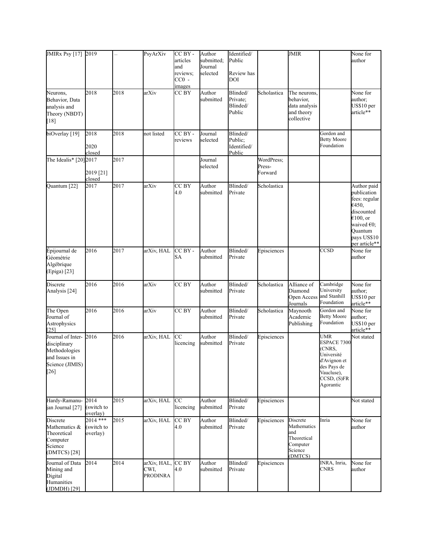| JMIRx Psy [17] 2019                                                                              |                                      |      | PsyArXiv                               | CC BY -<br>articles<br>and<br>reviews;<br>$CC0$ -<br><i>images</i> | Author<br>submitted;<br>Journal<br>selected | Identified/<br>Public<br>Review has<br>DOI   |                                 | <b>JMIR</b>                                                                     |                                                                                                                                 | None for<br>author                                                                                                                                |
|--------------------------------------------------------------------------------------------------|--------------------------------------|------|----------------------------------------|--------------------------------------------------------------------|---------------------------------------------|----------------------------------------------|---------------------------------|---------------------------------------------------------------------------------|---------------------------------------------------------------------------------------------------------------------------------|---------------------------------------------------------------------------------------------------------------------------------------------------|
| Neurons,<br>Behavior, Data<br>analysis and<br>Theory (NBDT)<br>[18]                              | 2018                                 | 2018 | arXiv                                  | CC BY                                                              | Author<br>submitted                         | Blinded/<br>Private;<br>Blinded/<br>Public   | Scholastica                     | The neurons,<br>behavior.<br>data analysis<br>and theory<br>collective          |                                                                                                                                 | None for<br>author;<br>US\$10 per<br>article**                                                                                                    |
| biOverlay [19]                                                                                   | 2018<br>2020<br>closed               | 2018 | not listed                             | CC BY -<br>reviews                                                 | Journal<br>selected                         | Blinded/<br>Public;<br>Identified/<br>Public |                                 |                                                                                 | Gordon and<br><b>Betty Moore</b><br>Foundation                                                                                  |                                                                                                                                                   |
| The Idealis* $[20]$ 2017                                                                         | 2019 [21]<br>closed                  | 2017 |                                        |                                                                    | Journal<br>selected                         |                                              | WordPress;<br>Press-<br>Forward |                                                                                 |                                                                                                                                 |                                                                                                                                                   |
| Quantum [22]                                                                                     | 2017                                 | 2017 | arXiv                                  | CC BY<br>4.0                                                       | Author<br>submitted                         | Blinded/<br>Private                          | Scholastica                     |                                                                                 |                                                                                                                                 | Author paid<br>publication<br>fees: regular<br>€450,<br>discounted<br>€100, or<br>waived $\epsilon$ 0;<br>Quantum<br>pays US\$10<br>per article** |
| Épijournal de<br>Géométrie<br>Algébrique<br>(Epiga) [23]                                         | 2016                                 | 2017 | arXiv, HAL                             | CC BY -<br>SA                                                      | Author<br>submitted                         | Blinded/<br>Private                          | Episciences                     |                                                                                 | $\overline{\text{CCSD}}$                                                                                                        | None for<br>author                                                                                                                                |
| Discrete<br>Analysis [24]                                                                        | 2016                                 | 2016 | arXiv                                  | CC BY                                                              | Author<br>submitted                         | Blinded/<br>Private                          | Scholastica                     | Alliance of<br>Diamond<br>Open Access and Stanhill<br>Journals                  | Cambridge<br>University<br>Foundation                                                                                           | None for<br>author;<br>US\$10 per<br>article**                                                                                                    |
| The Open<br>Journal of<br>Astrophysics<br>[25]                                                   | 2016                                 | 2016 | arXiv                                  | CC BY                                                              | Author<br>submitted                         | Blinded/<br>Private                          | Scholastica                     | Maynooth<br>Academic<br>Publishing                                              | Gordon and<br><b>Betty Moore</b><br>Foundation                                                                                  | None for<br>author;<br>US\$10 per<br>article**                                                                                                    |
| Journal of Inter-<br>disciplinary<br>Methodologies<br>and Issues in<br>Science (JIMIS)<br>$[26]$ | 2016                                 | 2016 | arXiv, HAL                             | <b>CC</b><br>licencing                                             | Author<br>submitted                         | Blinded/<br>Private                          | Episciences                     |                                                                                 | <b>UMR</b><br>ESPACE 7300<br>(CNRS,<br>Université<br>d'Avignon et<br>des Pays de<br>Vaucluse),<br>$CCSD$ , $(S)FR$<br>Agorantic | Not stated                                                                                                                                        |
| Hardy-Ramanu-<br>jan Journal [27]                                                                | 2014<br>(switch to<br>overlay)       | 2015 | arXiv, HAL                             | <b>CC</b><br>licencing                                             | Author<br>submitted                         | Blinded/<br>Private                          | Episciences                     |                                                                                 |                                                                                                                                 | Not stated                                                                                                                                        |
| Discrete<br>Mathematics &<br>Theoretical<br>Computer<br>Science<br>(DMTCS) [28]                  | $2014$ ***<br>(switch to<br>overlay) | 2015 | arXiv, HAL                             | CC BY<br>4.0                                                       | Author<br>submitted                         | Blinded/<br>Private                          | Episciences                     | Discrete<br>Mathematics<br>and<br>Theoretical<br>Computer<br>Science<br>(DMTCS) | Inria                                                                                                                           | None for<br>author                                                                                                                                |
| Journal of Data<br>Mining and<br>Digital<br>Humanities<br>(JDMDH) [29]                           | 2014                                 | 2014 | arXiv, HAL,<br>CWI.<br><b>PRODINRA</b> | CC BY<br>4.0                                                       | Author<br>submitted                         | Blinded/<br>Private                          | Episciences                     |                                                                                 | INRA, Inria,<br>CNRS                                                                                                            | None for<br>author                                                                                                                                |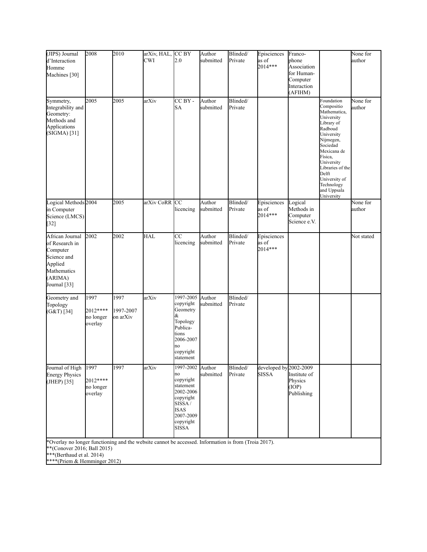| (JIPS) Journal<br>d'Interaction<br>Homme<br>Machines [30]                                                                                                                                        | 2008                                     | 2010                          | arXiv, HAL,<br>CWI | CC BY<br>2.0                                                                                                                    | Author<br>submitted | Blinded/<br>Private | Episciences<br>as of<br>2014***        | Franco-<br>phone<br>Association<br>for Human-<br>Computer<br>Interaction<br>(AFIHM) |                                                                                                                                                                                                                                                         | None for<br>author |
|--------------------------------------------------------------------------------------------------------------------------------------------------------------------------------------------------|------------------------------------------|-------------------------------|--------------------|---------------------------------------------------------------------------------------------------------------------------------|---------------------|---------------------|----------------------------------------|-------------------------------------------------------------------------------------|---------------------------------------------------------------------------------------------------------------------------------------------------------------------------------------------------------------------------------------------------------|--------------------|
| Symmetry,<br>Integrability and<br>Geometry:<br>Methods and<br>Applications<br>(SIGMA) [31]                                                                                                       | 2005                                     | 2005                          | arXiv              | CC BY -<br><b>SA</b>                                                                                                            | Author<br>submitted | Blinded/<br>Private |                                        |                                                                                     | Foundation<br>Compositio<br>Mathematica,<br>University<br>Library of<br>Radboud<br>University<br>Nijmegen,<br>Sociedad<br>Mexicana de<br>Física,<br>University<br>Libraries of the<br>Delft<br>University of<br>Technology<br>and Uppsala<br>University | None for<br>author |
| Logical Methods 2004<br>in Computer<br>Science (LMCS)<br>$[32]$                                                                                                                                  |                                          | 2005                          | arXiv CoRR         | CC<br>licencing                                                                                                                 | Author<br>submitted | Blinded/<br>Private | Episciences<br>as of<br>2014***        | Logical<br>Methods in<br>Computer<br>Science e.V.                                   |                                                                                                                                                                                                                                                         | None for<br>author |
| African Journal<br>of Research in<br>Computer<br>Science and<br>Applied<br>Mathematics<br>(ARIMA)<br>Journal [33]                                                                                | 2002                                     | 2002                          | <b>HAL</b>         | $\overline{cc}$<br>licencing                                                                                                    | Author<br>submitted | Blinded/<br>Private | Episciences<br>as of<br>2014***        |                                                                                     |                                                                                                                                                                                                                                                         | Not stated         |
| Geometry and<br>Topology<br>$(G&T)$ [34]                                                                                                                                                         | 1997<br>2012****<br>no longer<br>overlay | 1997<br>1997-2007<br>on arXiv | arXiv              | 1997-2005<br>copyright<br>Geometry<br>&<br>Topology<br>Publica-<br>tions<br>2006-2007<br>no<br>copyright<br>statement           | Author<br>submitted | Blinded/<br>Private |                                        |                                                                                     |                                                                                                                                                                                                                                                         |                    |
| Journal of High<br><b>Energy Physics</b><br>(JHEP) [35]                                                                                                                                          | 1997<br>2012****<br>no longer<br>overlay | 1997                          | arXiv              | 1997-2002 Author<br>no<br>copyright<br>statement<br>2002-2006<br>copyright<br>SISSA/<br>ISAS<br>2007-2009<br>copyright<br>SISSA | submitted           | Blinded/<br>Private | developed by 2002-2009<br><b>SISSA</b> | Institute of<br>Physics<br>(IOP)<br>Publishing                                      |                                                                                                                                                                                                                                                         |                    |
| *Overlay no longer functioning and the website cannot be accessed. Information is from (Troia 2017).<br>**(Conover 2016; Ball 2015)<br>***(Berthaud et al. 2014)<br>****(Priem & Hemminger 2012) |                                          |                               |                    |                                                                                                                                 |                     |                     |                                        |                                                                                     |                                                                                                                                                                                                                                                         |                    |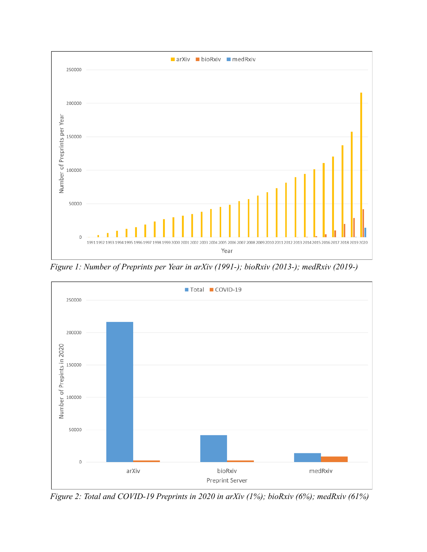

*Figure 1: Number of Preprints per Year in arXiv (1991-); bioRxiv (2013-); medRxiv (2019-)*



*Figure 2: Total and COVID-19 Preprints in 2020 in arXiv (1%); bioRxiv (6%); medRxiv (61%)*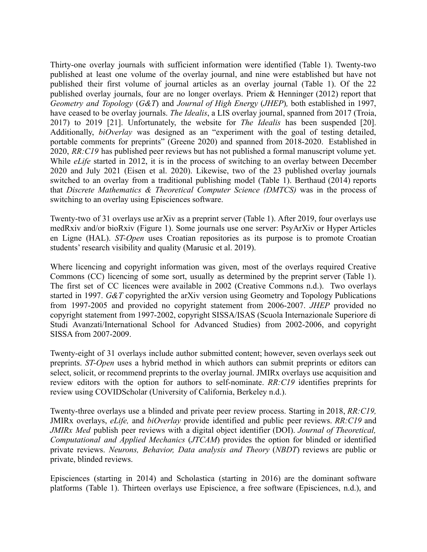Thirty-one overlay journals with sufficient information were identified (Table 1). Twenty-two published at least one volume of the overlay journal, and nine were established but have not published their first volume of journal articles as an overlay journal (Table 1). Of the 22 published overlay journals, four are no longer overlays. Priem & Henninger (2012) report that *Geometry and Topology* (*G&T*) and *Journal of High Energy* (*JHEP*)*,* both established in 1997, have ceased to be overlay journals. *The Idealis*, a LIS overlay journal, spanned from 2017 (Troia, 2017) to 2019 [21]. Unfortunately, the website for *The Idealis* has been suspended [20]. Additionally, *biOverlay* was designed as an "experiment with the goal of testing detailed, portable comments for preprints" (Greene 2020) and spanned from 2018-2020. Established in 2020, *RR:C19* has published peer reviews but has not published a formal manuscript volume yet. While *eLife* started in 2012, it is in the process of switching to an overlay between December 2020 and July 2021 (Eisen et al. 2020). Likewise, two of the 23 published overlay journals switched to an overlay from a traditional publishing model (Table 1). Berthaud (2014) reports that *Discrete Mathematics & Theoretical Computer Science (DMTCS)* was in the process of switching to an overlay using Episciences software.

Twenty-two of 31 overlays use arXiv as a preprint server (Table 1). After 2019, four overlays use medRxiv and/or bioRxiv (Figure 1). Some journals use one server: PsyArXiv or Hyper Articles en Ligne (HAL). *ST-Open* uses Croatian repositories as its purpose is to promote Croatian students' research visibility and quality (Marusic et al. 2019).

Where licencing and copyright information was given, most of the overlays required Creative Commons (CC) licencing of some sort, usually as determined by the preprint server (Table 1). The first set of CC licences were available in 2002 (Creative Commons n.d.). Two overlays started in 1997. *G&T* copyrighted the arXiv version using Geometry and Topology Publications from 1997-2005 and provided no copyright statement from 2006-2007. *JHEP* provided no copyright statement from 1997-2002, copyright SISSA/ISAS (Scuola Internazionale Superiore di Studi Avanzati/International School for Advanced Studies) from 2002-2006, and copyright SISSA from 2007-2009.

Twenty-eight of 31 overlays include author submitted content; however, seven overlays seek out preprints. *ST-Open* uses a hybrid method in which authors can submit preprints or editors can select, solicit, or recommend preprints to the overlay journal. JMIRx overlays use acquisition and review editors with the option for authors to self-nominate. *RR:C19* identifies preprints for review using COVIDScholar (University of California, Berkeley n.d.).

Twenty-three overlays use a blinded and private peer review process. Starting in 2018, *RR:C19,* JMIRx overlays, *eLife,* and *biOverlay* provide identified and public peer reviews. *RR:C19* and *JMIRx Med* publish peer reviews with a digital object identifier (DOI). *Journal of Theoretical, Computational and Applied Mechanics* (*JTCAM*) provides the option for blinded or identified private reviews. *Neurons, Behavior, Data analysis and Theory* (*NBDT*) reviews are public or private, blinded reviews.

Episciences (starting in 2014) and Scholastica (starting in 2016) are the dominant software platforms (Table 1). Thirteen overlays use Episcience, a free software (Episciences, n.d.), and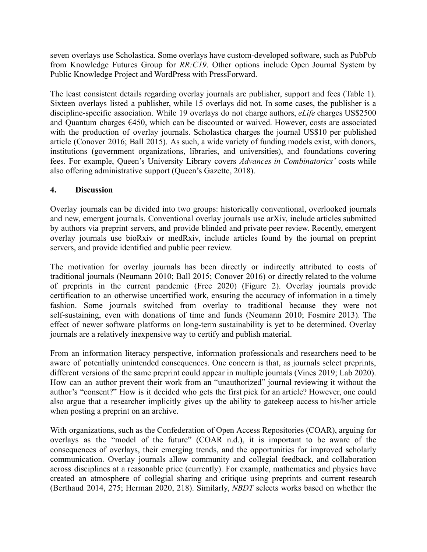seven overlays use Scholastica. Some overlays have custom-developed software, such as PubPub from Knowledge Futures Group for *RR:C19*. Other options include Open Journal System by Public Knowledge Project and WordPress with PressForward.

The least consistent details regarding overlay journals are publisher, support and fees (Table 1). Sixteen overlays listed a publisher, while 15 overlays did not. In some cases, the publisher is a discipline-specific association. While 19 overlays do not charge authors, *eLife* charges US\$2500 and Quantum charges €450, which can be discounted or waived. However, costs are associated with the production of overlay journals. Scholastica charges the journal US\$10 per published article (Conover 2016; Ball 2015). As such, a wide variety of funding models exist, with donors, institutions (government organizations, libraries, and universities), and foundations covering fees. For example, Queen's University Library covers *Advances in Combinatorics'* costs while also offering administrative support (Queen's Gazette, 2018).

### **4. Discussion**

Overlay journals can be divided into two groups: historically conventional, overlooked journals and new, emergent journals. Conventional overlay journals use arXiv, include articles submitted by authors via preprint servers, and provide blinded and private peer review. Recently, emergent overlay journals use bioRxiv or medRxiv, include articles found by the journal on preprint servers, and provide identified and public peer review.

The motivation for overlay journals has been directly or indirectly attributed to costs of traditional journals (Neumann 2010; Ball 2015; Conover 2016) or directly related to the volume of preprints in the current pandemic (Free 2020) (Figure 2). Overlay journals provide certification to an otherwise uncertified work, ensuring the accuracy of information in a timely fashion. Some journals switched from overlay to traditional because they were not self-sustaining, even with donations of time and funds (Neumann 2010; Fosmire 2013). The effect of newer software platforms on long-term sustainability is yet to be determined. Overlay journals are a relatively inexpensive way to certify and publish material.

From an information literacy perspective, information professionals and researchers need to be aware of potentially unintended consequences. One concern is that, as journals select preprints, different versions of the same preprint could appear in multiple journals (Vines 2019; Lab 2020). How can an author prevent their work from an "unauthorized" journal reviewing it without the author's "consent?" How is it decided who gets the first pick for an article? However, one could also argue that a researcher implicitly gives up the ability to gatekeep access to his/her article when posting a preprint on an archive.

With organizations, such as the Confederation of Open Access Repositories (COAR), arguing for overlays as the "model of the future" (COAR n.d.), it is important to be aware of the consequences of overlays, their emerging trends, and the opportunities for improved scholarly communication. Overlay journals allow community and collegial feedback, and collaboration across disciplines at a reasonable price (currently). For example, mathematics and physics have created an atmosphere of collegial sharing and critique using preprints and current research (Berthaud 2014, 275; Herman 2020, 218). Similarly, *NBDT* selects works based on whether the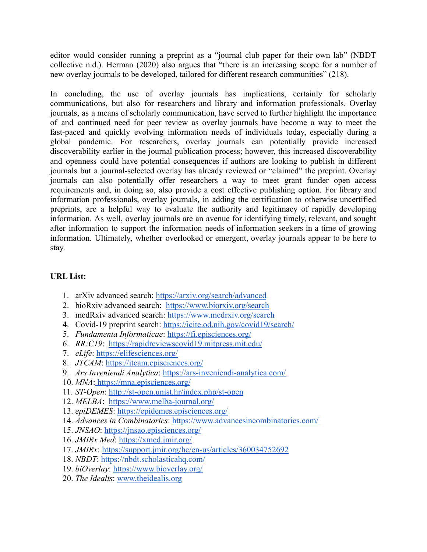editor would consider running a preprint as a "journal club paper for their own lab" (NBDT collective n.d.). Herman (2020) also argues that "there is an increasing scope for a number of new overlay journals to be developed, tailored for different research communities" (218).

In concluding, the use of overlay journals has implications, certainly for scholarly communications, but also for researchers and library and information professionals. Overlay journals, as a means of scholarly communication, have served to further highlight the importance of and continued need for peer review as overlay journals have become a way to meet the fast-paced and quickly evolving information needs of individuals today, especially during a global pandemic. For researchers, overlay journals can potentially provide increased discoverability earlier in the journal publication process; however, this increased discoverability and openness could have potential consequences if authors are looking to publish in different journals but a journal-selected overlay has already reviewed or "claimed" the preprint. Overlay journals can also potentially offer researchers a way to meet grant funder open access requirements and, in doing so, also provide a cost effective publishing option. For library and information professionals, overlay journals, in adding the certification to otherwise uncertified preprints, are a helpful way to evaluate the authority and legitimacy of rapidly developing information. As well, overlay journals are an avenue for identifying timely, relevant, and sought after information to support the information needs of information seekers in a time of growing information. Ultimately, whether overlooked or emergent, overlay journals appear to be here to stay.

# **URL List:**

- 1. arXiv advanced search: <https://arxiv.org/search/advanced>
- 2. bioRxiv advanced search: <https://www.biorxiv.org/search>
- 3. medRxiv advanced search: <https://www.medrxiv.org/search>
- 4. Covid-19 preprint search: <https://icite.od.nih.gov/covid19/search/>
- 5. *Fundamenta Informaticae*: <https://fi.episciences.org/>
- 6. *RR:C19*: <https://rapidreviewscovid19.mitpress.mit.edu/>
- 7. *eLife*: <https://elifesciences.org/>
- 8. *JTCAM*: <https://jtcam.episciences.org/>
- 9. *Ars Inveniendi Analytica*: <https://ars-inveniendi-analytica.com/>
- 10. *MNA*: <https://mna.episciences.org/>
- 11. *ST-Open*: <http://st-open.unist.hr/index.php/st-open>
- 12. *MELBA*: <https://www.melba-journal.org/>
- 13. *epiDEMES*: <https://epidemes.episciences.org/>
- 14. *Advances in Combinatorics*: <https://www.advancesincombinatorics.com/>
- 15. *JNSAO*: <https://jnsao.episciences.org/>
- 16. *JMIRx Med*: <https://xmed.jmir.org/>
- 17. *JMIRx*: <https://support.jmir.org/hc/en-us/articles/360034752692>
- 18. *NBDT*: <https://nbdt.scholasticahq.com/>
- 19. *biOverlay*: <https://www.bioverlay.org/>
- 20. *The Idealis*: [www.theidealis.org](http://www.theidealis.org/)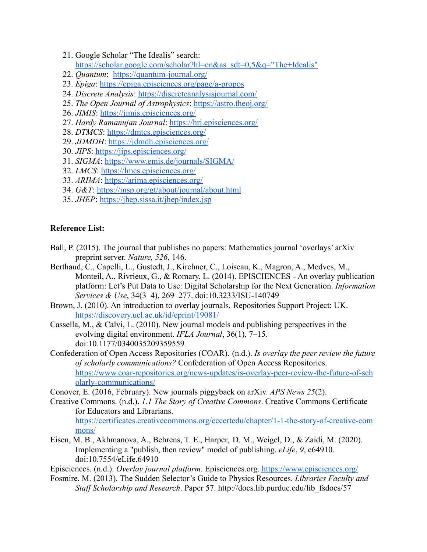- 21. Google Scholar "The Idealis" search: [https://scholar.google.com/scholar?hl=en&as\\_sdt=0,5&q="The+Idealis"](https://scholar.google.com/scholar?hl=en&as_sdt=0,5&q=%22The+Idealis%22)
- 22. *Quantum*: <https://quantum-journal.org/>
- 23. *Epiga*: <https://epiga.episciences.org/page/a-propos>
- 24. *Discrete Analysis*: <https://discreteanalysisjournal.com/>
- 25. *The Open Journal of Astrophysics*: <https://astro.theoj.org/>
- 26. *JIMIS*: <https://jimis.episciences.org/>
- 27. *Hardy Ramanujan Journal*: <https://hrj.episciences.org/>
- 28. *DTMCS*: <https://dmtcs.episciences.org/>
- 29. *[JDMDH](https://jdmdh.episciences.org/#:~:text=The%20Journal%20of%20Data%20Mining%20&%20Digital%20Humanities,by%20publishing%20scholarly%20work%20beyond%20the%20traditional%20humanities)*: <https://jdmdh.episciences.org/>
- 30. *JIPS*: <https://jips.episciences.org/>
- 31. *SIGMA*: <https://www.emis.de/journals/SIGMA/>
- 32. *LMCS*: [https://lmcs.episciences.org/](https://lmcs.episciences.org/page/purpose)
- 33. *ARIMA*: <https://arima.episciences.org/>
- 34. *G&T*: <https://msp.org/gt/about/journal/about.html>
- 35. *JHEP*: <https://jhep.sissa.it/jhep/index.jsp>

### **Reference List:**

[mons/](https://certificates.creativecommons.org/cccertedu/chapter/1-1-the-story-of-creative-commons/)

- Ball, P. (2015). The journal that publishes no papers: Mathematics journal 'overlays' arXiv preprint server. *Nature, 526*, 146.
- Berthaud, C., Capelli, L., Gustedt, J., Kirchner, C., Loiseau, K., Magron, A., Medves, M., Monteil, A., Rivrieux, G., & Romary, L. (2014). EPISCIENCES - An overlay publication platform: Let's Put Data to Use: Digital Scholarship for the Next Generation. *Information Services & Use*, 34(3–4), 269–277. doi:10.3233/ISU-140749
- Brown, J. (2010). An introduction to overlay journals. Repositories Support Project: UK. <https://discovery.ucl.ac.uk/id/eprint/19081/>
- Cassella, M., & Calvi, L. (2010). New journal models and publishing perspectives in the evolving digital environment. *IFLA Journal*, 36(1), 7–15. doi:10.1177/0340035209359559
- Confederation of Open Access Repositories (COAR). (n.d.). *Is overlay the peer review the future of scholarly communications?* Confederation of Open Access Repositories. [https://www.coar-repositories.org/news-updates/is-overlay-peer-review-the-future-of-sch](https://www.coar-repositories.org/news-updates/is-overlay-peer-review-the-future-of-scholarly-communications/) [olarly-communications/](https://www.coar-repositories.org/news-updates/is-overlay-peer-review-the-future-of-scholarly-communications/)
- Conover, E. (2016, February). New journals piggyback on arXiv. *APS News 25*(2).
- Creative Commons. (n.d.). *1.1 The Story of Creative Commons*. Creative Commons Certificate for Educators and Librarians. [https://certificates.creativecommons.org/cccertedu/chapter/1-1-the-story-of-creative-com](https://certificates.creativecommons.org/cccertedu/chapter/1-1-the-story-of-creative-commons/)
- Eisen, M. B., Akhmanova, A., Behrens, T. E., Harper, D. M., Weigel, D., & Zaidi, M. (2020). Implementing a "publish, then review" model of publishing. *eLife*, *9*, e64910. doi:10.7554/eLife.64910
- Episciences. (n.d.). *Overlay journal platform*. Episciences.org. <https://www.episciences.org/>
- Fosmire, M. (2013). The Sudden Selector's Guide to Physics Resources. *Libraries Faculty and Staff Scholarship and Research*. Paper 57. http://docs.lib.purdue.edu/lib\_fsdocs/57